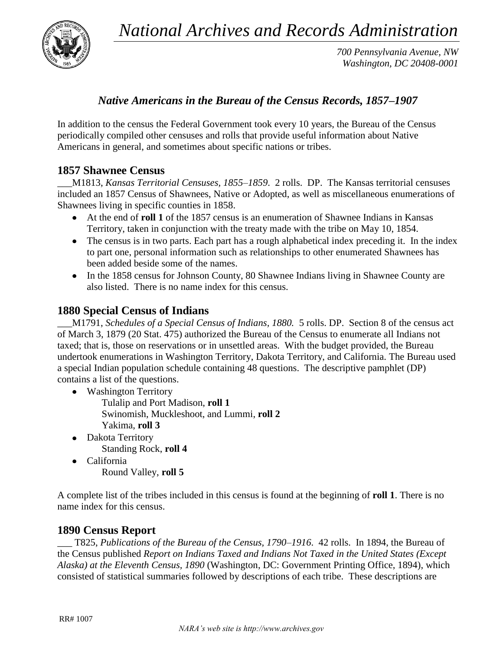*National Archives and Records Administration*



*700 Pennsylvania Avenue, NW Washington, DC 20408-0001*

# *Native Americans in the Bureau of the Census Records, 1857–1907*

In addition to the census the Federal Government took every 10 years, the Bureau of the Census periodically compiled other censuses and rolls that provide useful information about Native Americans in general, and sometimes about specific nations or tribes.

## **1857 Shawnee Census**

\_\_\_M1813, *Kansas Territorial Censuses, 1855–1859*. 2 rolls. DP. The Kansas territorial censuses included an 1857 Census of Shawnees, Native or Adopted, as well as miscellaneous enumerations of Shawnees living in specific counties in 1858.

- At the end of **roll 1** of the 1857 census is an enumeration of Shawnee Indians in Kansas Territory, taken in conjunction with the treaty made with the tribe on May 10, 1854.
- The census is in two parts. Each part has a rough alphabetical index preceding it. In the index to part one, personal information such as relationships to other enumerated Shawnees has been added beside some of the names.
- In the 1858 census for Johnson County, 80 Shawnee Indians living in Shawnee County are also listed. There is no name index for this census.

## **1880 Special Census of Indians**

\_\_\_M1791, *Schedules of a Special Census of Indians, 1880.* 5 rolls. DP. Section 8 of the census act of March 3, 1879 (20 Stat. 475) authorized the Bureau of the Census to enumerate all Indians not taxed; that is, those on reservations or in unsettled areas. With the budget provided, the Bureau undertook enumerations in Washington Territory, Dakota Territory, and California. The Bureau used a special Indian population schedule containing 48 questions. The descriptive pamphlet (DP) contains a list of the questions.

- Washington Territory
	- Tulalip and Port Madison, **roll 1** Swinomish, Muckleshoot, and Lummi, **roll 2** Yakima, **roll 3**
- Dakota Territory Standing Rock, **roll 4**
- California Round Valley, **roll 5**

A complete list of the tribes included in this census is found at the beginning of **roll 1**. There is no name index for this census.

### **1890 Census Report**

\_\_\_ T825, *Publications of the Bureau of the Census, 1790–1916*. 42 rolls. In 1894, the Bureau of the Census published *Report on Indians Taxed and Indians Not Taxed in the United States (Except Alaska) at the Eleventh Census, 1890* (Washington, DC: Government Printing Office, 1894), which consisted of statistical summaries followed by descriptions of each tribe. These descriptions are